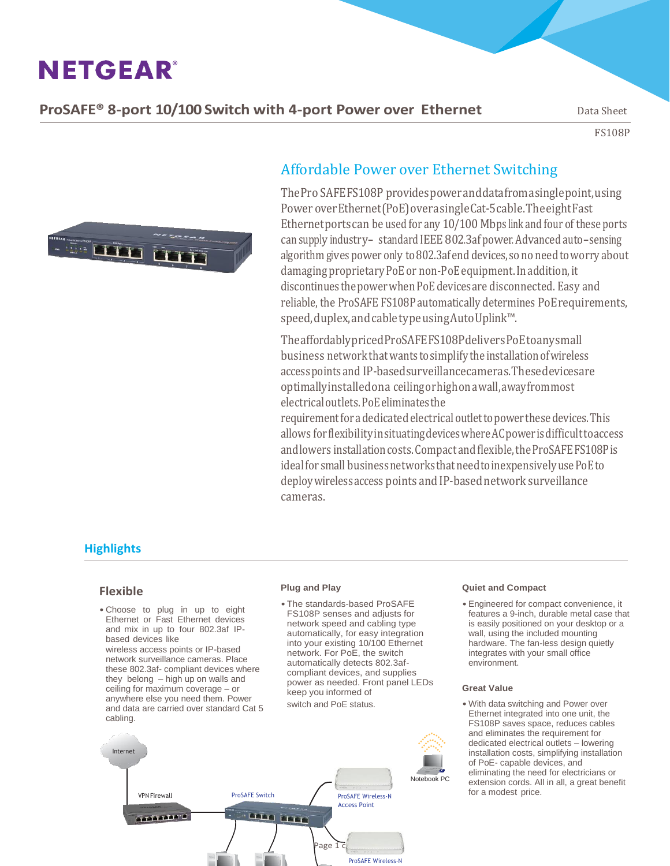**ProSAFE<sup>®</sup> 8-port 10/100 Switch with 4-port Power over Ethernet** Data Sheet

FS108P



## Affordable Power over Ethernet Switching

ThePro SAFEFS108P providespoweranddatafromasinglepoint,using Power overEthernet(PoE)overasingleCat-5cable.TheeightFast Ethernetports can be used for any 10/100 Mbps link and four of these ports can supply industry- standard IEEE 802.3af power. Advanced auto-sensing algorithm gives power only to 802.3af end devices, so no need to worry about damaging proprietary PoE or non-PoE equipment. In addition, it discontinues the power when PoE devices are disconnected. Easy and reliable, the ProSAFE FS108P automatically determines PoErequirements, speed, duplex, and cable type using Auto Uplink™.

TheaffordablypricedProSAFEFS108PdeliversPoEtoanysmall business network that wants to simplify the installation of wireless accesspointsand IP-basedsurveillancecameras.Thesedevicesare optimallyinstalledona ceilingorhighonawall,awayfrommost electricaloutlets.PoEeliminatesthe

requirementfor adedicatedelectricaloutlettopowerthesedevices.This allows forflexibilityinsituatingdeviceswhereACpowerisdifficulttoaccess and lowers installation costs. Compact and flexible, the ProSAFE FS108P is idealfor small businessnetworksthatneedtoinexpensivelyusePoEto deploywirelessaccess points and IP-basednetwork surveillance cameras.

## **Highlights**

#### **Flexible**

• Choose to plug in up to eight Ethernet or Fast Ethernet devices and mix in up to four 802.3af IPbased devices like

wireless access points or IP-based network surveillance cameras. Place these 802.3af- compliant devices where they belong – high up on walls and ceiling for maximum coverage – or anywhere else you need them. Power and data are carried over standard Cat 5 cabling.

#### **Plug and Play**

•The standards-based ProSAFE FS108P senses and adjusts for network speed and cabling type automatically, for easy integration into your existing 10/100 Ethernet network. For PoE, the switch automatically detects 802.3afcompliant devices, and supplies power as needed. Front panel LEDs keep you informed of switch and PoE status.



#### **Quiet and Compact**

• Engineered for compact convenience, it features a 9-inch, durable metal case that is easily positioned on your desktop or a wall, using the included mounting hardware. The fan-less design quietly integrates with your small office environment.

#### **Great Value**

• With data switching and Power over Ethernet integrated into one unit, the FS108P saves space, reduces cables and eliminates the requirement for dedicated electrical outlets – lowering installation costs, simplifying installation of PoE- capable devices, and eliminating the need for electricians or extension cords. All in all, a great benefit for a modest price.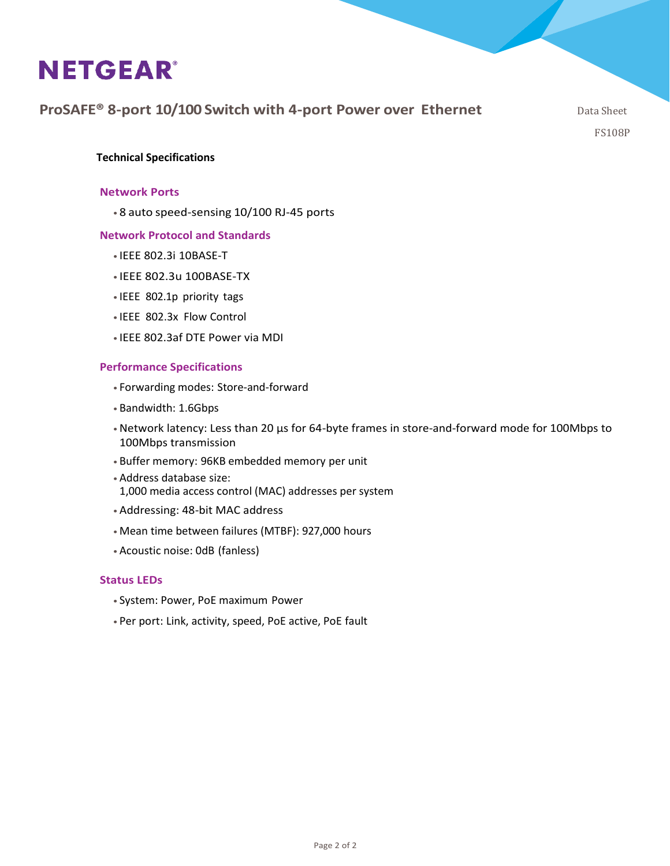## **ProSAFE<sup>®</sup> 8-port 10/100 Switch with 4-port Power over Ethernet** Data Sheet

FS108P

### **Technical Specifications**

### **Network Ports**

• 8 auto speed-sensing 10/100 RJ-45 ports

### **Network Protocol and Standards**

- IEEE 802.3i 10BASE-T
- IEEE 802.3u 100BASE-TX
- IEEE 802.1p priority tags
- IEEE 802.3x Flow Control
- IEEE 802.3af DTE Power via MDI

### **Performance Specifications**

- Forwarding modes: Store-and-forward
- •Bandwidth: 1.6Gbps
- •Network latency: Less than 20 μs for 64-byte frames in store-and-forward mode for 100Mbps to 100Mbps transmission
- •Buffer memory: 96KB embedded memory per unit
- •Address database size: 1,000 media access control (MAC) addresses per system
- •Addressing: 48-bit MAC address
- •Mean time between failures (MTBF): 927,000 hours
- •Acoustic noise: 0dB (fanless)

#### **Status LEDs**

- System: Power, PoE maximum Power
- Per port: Link, activity, speed, PoE active, PoE fault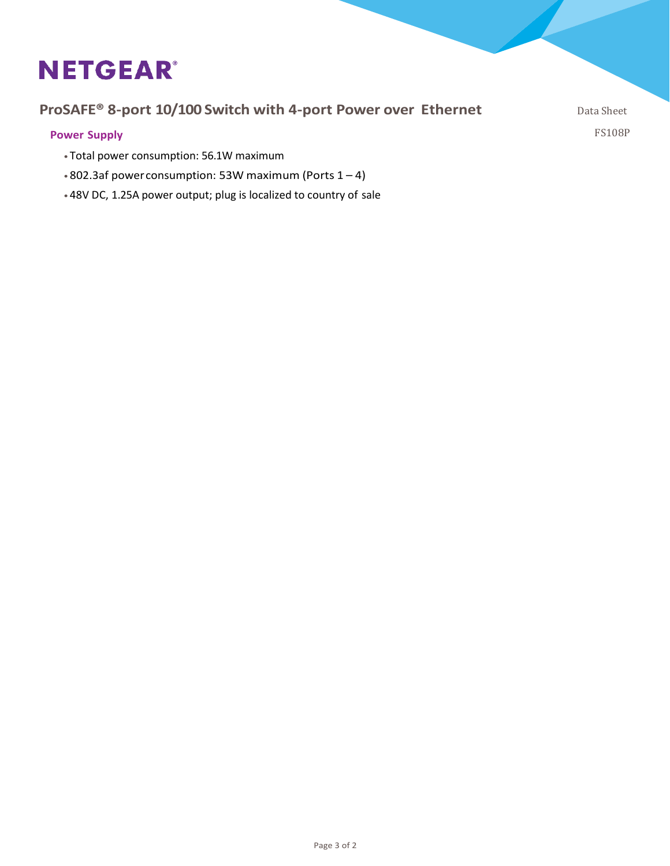## **ProSAFE<sup>®</sup> 8-port 10/100 Switch with 4-port Power over Ethernet** Data Sheet

**Power Supply**

- Total power consumption: 56.1W maximum
- •802.3af powerconsumption: 53W maximum (Ports 1 4)
- •48V DC, 1.25A power output; plug is localized to country of sale

FS108P